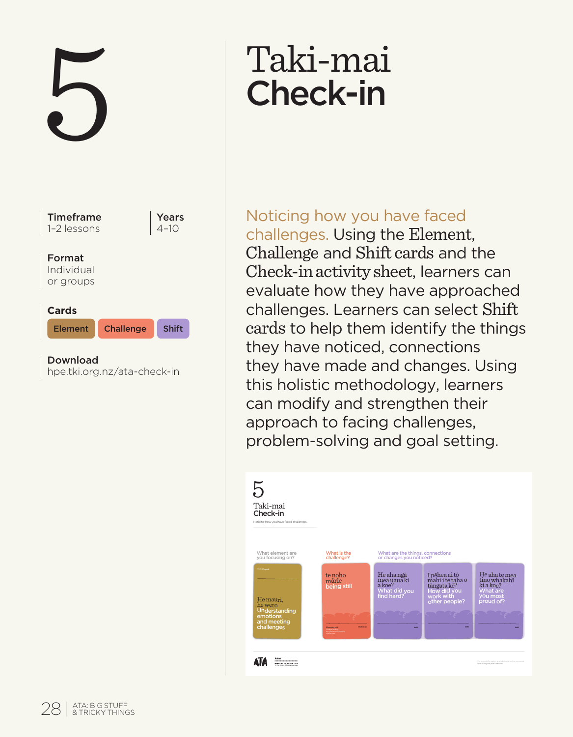

# Check-in

# Noticing how you have faced

challenges. Using the Element, Challenge and Shift cards and the Check-in activity sheet, learners can evaluate how they have approached challenges. Learners can select Shift cards to help them identify the things they have noticed, connections they have made and changes. Using this holistic methodology, learners can modify and strengthen their approach to facing challenges, problem-solving and goal setting.

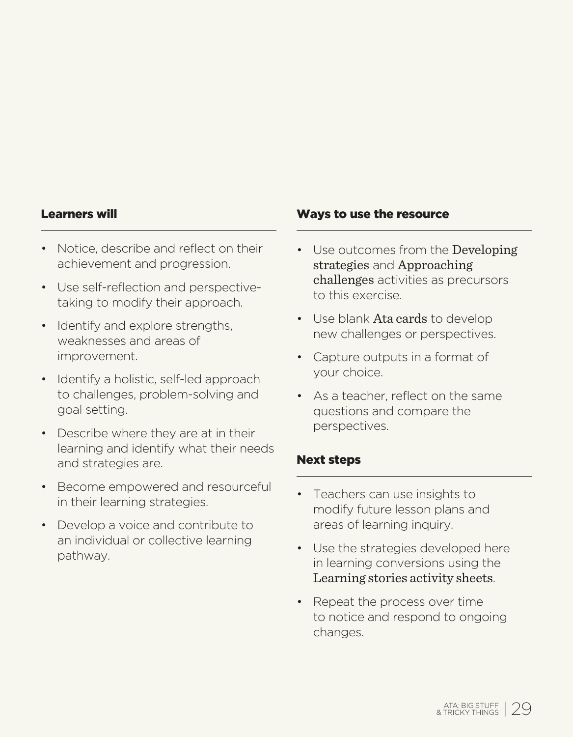## Learners will

- Notice, describe and reflect on their achievement and progression.
- Use self-reflection and perspectivetaking to modify their approach.
- Identify and explore strengths. weaknesses and areas of improvement.
- Identify a holistic, self-led approach to challenges, problem-solving and goal setting.
- Describe where they are at in their learning and identify what their needs and strategies are.
- Become empowered and resourceful in their learning strategies.
- Develop a voice and contribute to an individual or collective learning pathway.

## Ways to use the resource

- Use outcomes from the Developing strategies and Approaching challenges activities as precursors to this exercise.
- Use blank Ata cards to develop new challenges or perspectives.
- Capture outputs in a format of your choice.
- As a teacher, reflect on the same questions and compare the perspectives.

## Next steps

- Teachers can use insights to modify future lesson plans and areas of learning inquiry.
- Use the strategies developed here in learning conversions using the Learning stories activity sheets.
- Repeat the process over time to notice and respond to ongoing changes.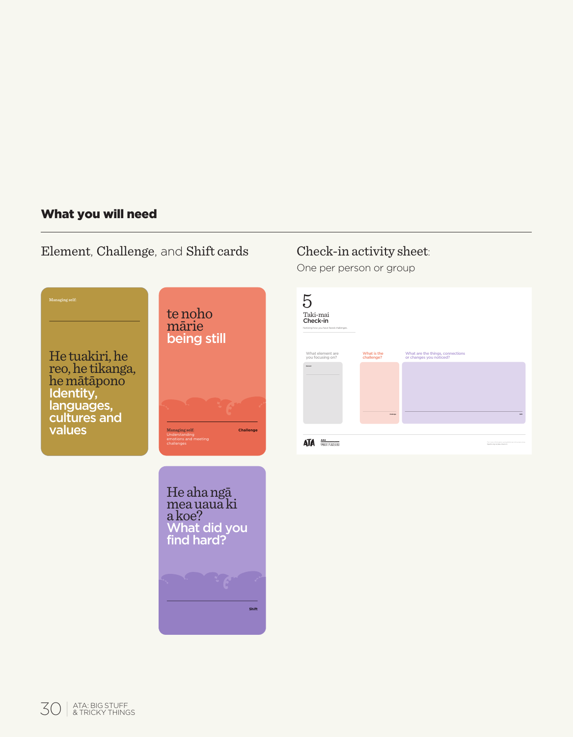## What you will need

Element, Challenge, and Shift cards Check-in activity sheet:

## $He$  tuakiri, he or changes you noticed?  $\frac{What\{S}^{What\{S}}$  connections  $\frac{What\{S}^{What\{S}}}{\text{chablog}P^2}}$  or changes you noticed? reo, he tikanga, he mātāpono Identity, languages, cultures and values te noho mārie being still Managing self: **Challenge**

One per person or group

| Taki-mai<br>Check-in<br>humping how you have faced challenges. |                           |                                                             |  |
|----------------------------------------------------------------|---------------------------|-------------------------------------------------------------|--|
| What element are<br>you focusing on?                           | What is the<br>challenge? | What are the things, connections<br>or changes you noticed? |  |
| <b>Service</b>                                                 |                           |                                                             |  |
|                                                                |                           |                                                             |  |
|                                                                |                           |                                                             |  |
|                                                                | <b>DOM:</b>               |                                                             |  |

He aha ngā mea uaua ki a koe? What did you find hard?

**Shift**